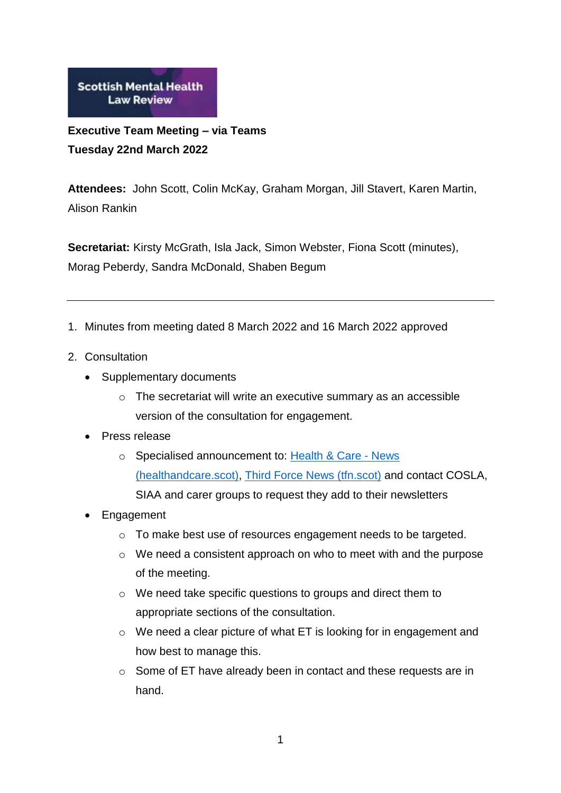

**Executive Team Meeting – via Teams Tuesday 22nd March 2022**

**Attendees:** John Scott, Colin McKay, Graham Morgan, Jill Stavert, Karen Martin, Alison Rankin

**Secretariat:** Kirsty McGrath, Isla Jack, Simon Webster, Fiona Scott (minutes), Morag Peberdy, Sandra McDonald, Shaben Begum

- 1. Minutes from meeting dated 8 March 2022 and 16 March 2022 approved
- 2. Consultation
	- Supplementary documents
		- o The secretariat will write an executive summary as an accessible version of the consultation for engagement.

## • Press release

- o Specialised announcement to: [Health & Care -](https://healthandcare.scot/) News [\(healthandcare.scot\),](https://healthandcare.scot/) [Third Force News \(tfn.scot\)](https://tfn.scot/?gclid=CjwKCAjwiuuRBhBvEiwAFXKaNO_RGOYxirXYwLAQEX4Z9b5SqBNLGaG6NfNdIkiuupovXIr-eyiw5xoCReoQAvD_BwE) and contact COSLA, SIAA and carer groups to request they add to their newsletters
- Engagement
	- o To make best use of resources engagement needs to be targeted.
	- o We need a consistent approach on who to meet with and the purpose of the meeting.
	- o We need take specific questions to groups and direct them to appropriate sections of the consultation.
	- o We need a clear picture of what ET is looking for in engagement and how best to manage this.
	- o Some of ET have already been in contact and these requests are in hand.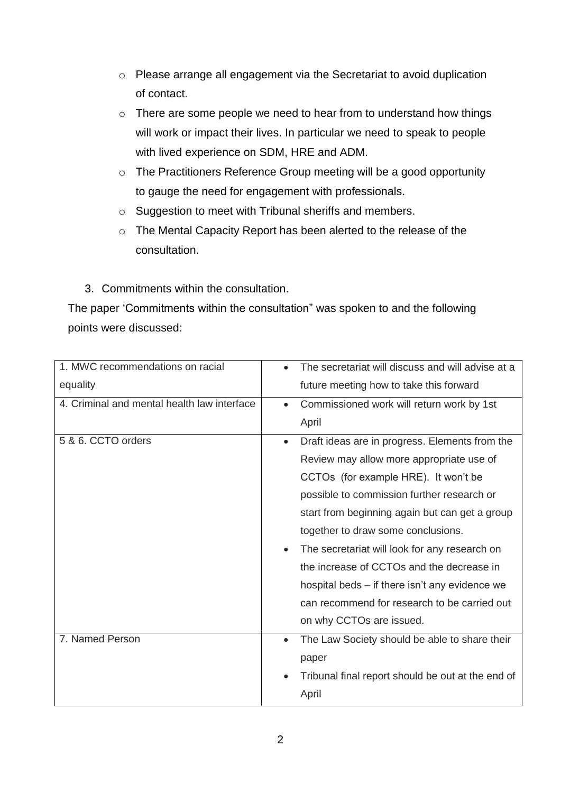- o Please arrange all engagement via the Secretariat to avoid duplication of contact.
- o There are some people we need to hear from to understand how things will work or impact their lives. In particular we need to speak to people with lived experience on SDM, HRE and ADM.
- o The Practitioners Reference Group meeting will be a good opportunity to gauge the need for engagement with professionals.
- o Suggestion to meet with Tribunal sheriffs and members.
- o The Mental Capacity Report has been alerted to the release of the consultation.
- 3. Commitments within the consultation.

The paper 'Commitments within the consultation" was spoken to and the following points were discussed:

| 1. MWC recommendations on racial            | The secretariat will discuss and will advise at a           |  |  |
|---------------------------------------------|-------------------------------------------------------------|--|--|
| equality                                    | future meeting how to take this forward                     |  |  |
| 4. Criminal and mental health law interface | Commissioned work will return work by 1st<br>$\bullet$      |  |  |
|                                             | April                                                       |  |  |
| 5 & 6. CCTO orders                          | Draft ideas are in progress. Elements from the<br>$\bullet$ |  |  |
|                                             | Review may allow more appropriate use of                    |  |  |
|                                             | CCTOs (for example HRE). It won't be                        |  |  |
|                                             | possible to commission further research or                  |  |  |
|                                             | start from beginning again but can get a group              |  |  |
|                                             | together to draw some conclusions.                          |  |  |
|                                             | The secretariat will look for any research on<br>$\bullet$  |  |  |
|                                             | the increase of CCTOs and the decrease in                   |  |  |
|                                             | hospital beds – if there isn't any evidence we              |  |  |
|                                             | can recommend for research to be carried out                |  |  |
|                                             | on why CCTOs are issued.                                    |  |  |
| 7. Named Person                             | The Law Society should be able to share their<br>$\bullet$  |  |  |
|                                             | paper                                                       |  |  |
|                                             | Tribunal final report should be out at the end of           |  |  |
|                                             | April                                                       |  |  |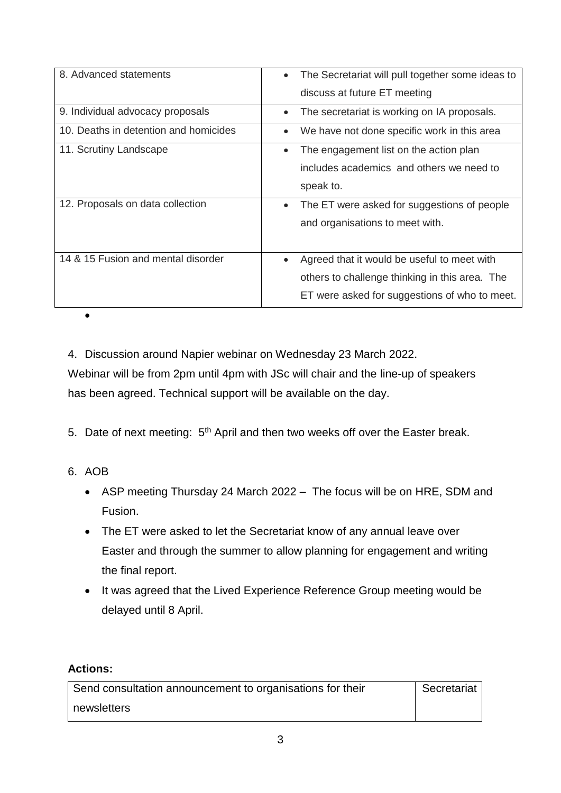| 8. Advanced statements                | The Secretariat will pull together some ideas to<br>discuss at future ET meeting                                                                            |
|---------------------------------------|-------------------------------------------------------------------------------------------------------------------------------------------------------------|
| 9. Individual advocacy proposals      | The secretariat is working on IA proposals.<br>$\bullet$                                                                                                    |
| 10. Deaths in detention and homicides | We have not done specific work in this area<br>$\bullet$                                                                                                    |
| 11. Scrutiny Landscape                | The engagement list on the action plan<br>$\bullet$<br>includes academics and others we need to<br>speak to.                                                |
| 12. Proposals on data collection      | The ET were asked for suggestions of people<br>$\bullet$<br>and organisations to meet with.                                                                 |
| 14 & 15 Fusion and mental disorder    | Agreed that it would be useful to meet with<br>$\bullet$<br>others to challenge thinking in this area. The<br>ET were asked for suggestions of who to meet. |

4. Discussion around Napier webinar on Wednesday 23 March 2022.

Webinar will be from 2pm until 4pm with JSc will chair and the line-up of speakers has been agreed. Technical support will be available on the day.

5. Date of next meeting:  $5<sup>th</sup>$  April and then two weeks off over the Easter break.

6. AOB

 $\bullet$ 

- ASP meeting Thursday 24 March 2022 The focus will be on HRE, SDM and Fusion.
- The ET were asked to let the Secretariat know of any annual leave over Easter and through the summer to allow planning for engagement and writing the final report.
- It was agreed that the Lived Experience Reference Group meeting would be delayed until 8 April.

## **Actions:**

| Send consultation announcement to organisations for their | Secretariat |
|-----------------------------------------------------------|-------------|
| newsletters                                               |             |